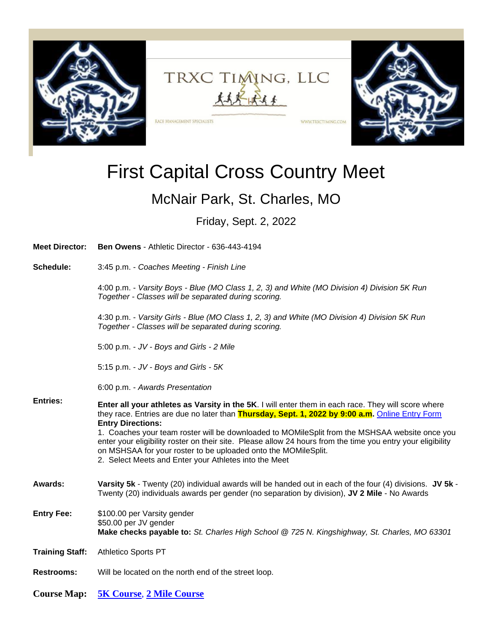

## TRXC TIMING, LLC 太太大城东

WWW.TRXCTIMING.COM

## First Capital Cross Country Meet

## McNair Park, St. Charles, MO

Friday, Sept. 2, 2022

| <b>Meet Director:</b>  | <b>Ben Owens - Athletic Director - 636-443-4194</b>                                                                                                                                                                                                                                                                                                                                                                                                                                                                                                                            |
|------------------------|--------------------------------------------------------------------------------------------------------------------------------------------------------------------------------------------------------------------------------------------------------------------------------------------------------------------------------------------------------------------------------------------------------------------------------------------------------------------------------------------------------------------------------------------------------------------------------|
| Schedule:              | 3:45 p.m. - Coaches Meeting - Finish Line                                                                                                                                                                                                                                                                                                                                                                                                                                                                                                                                      |
|                        | 4:00 p.m. - Varsity Boys - Blue (MO Class 1, 2, 3) and White (MO Division 4) Division 5K Run<br>Together - Classes will be separated during scoring.                                                                                                                                                                                                                                                                                                                                                                                                                           |
|                        | 4:30 p.m. - Varsity Girls - Blue (MO Class 1, 2, 3) and White (MO Division 4) Division 5K Run<br>Together - Classes will be separated during scoring.                                                                                                                                                                                                                                                                                                                                                                                                                          |
|                        | 5:00 p.m. - JV - Boys and Girls - 2 Mile                                                                                                                                                                                                                                                                                                                                                                                                                                                                                                                                       |
|                        | 5:15 p.m. - JV - Boys and Girls - 5K                                                                                                                                                                                                                                                                                                                                                                                                                                                                                                                                           |
|                        | 6:00 p.m. - Awards Presentation                                                                                                                                                                                                                                                                                                                                                                                                                                                                                                                                                |
| <b>Entries:</b>        | Enter all your athletes as Varsity in the 5K. I will enter them in each race. They will score where<br>they race. Entries are due no later than Thursday, Sept. 1, 2022 by 9:00 a.m. Online Entry Form<br><b>Entry Directions:</b><br>1. Coaches your team roster will be downloaded to MOMileSplit from the MSHSAA website once you<br>enter your eligibility roster on their site. Please allow 24 hours from the time you entry your eligibility<br>on MSHSAA for your roster to be uploaded onto the MOMileSplit.<br>2. Select Meets and Enter your Athletes into the Meet |
| Awards:                | Varsity 5k - Twenty (20) individual awards will be handed out in each of the four (4) divisions. JV 5k -<br>Twenty (20) individuals awards per gender (no separation by division), JV 2 Mile - No Awards                                                                                                                                                                                                                                                                                                                                                                       |
| <b>Entry Fee:</b>      | \$100.00 per Varsity gender<br>\$50.00 per JV gender<br>Make checks payable to: St. Charles High School @ 725 N. Kingshighway, St. Charles, MO 63301                                                                                                                                                                                                                                                                                                                                                                                                                           |
| <b>Training Staff:</b> | <b>Athletico Sports PT</b>                                                                                                                                                                                                                                                                                                                                                                                                                                                                                                                                                     |
| <b>Restrooms:</b>      | Will be located on the north end of the street loop.                                                                                                                                                                                                                                                                                                                                                                                                                                                                                                                           |
| <b>Course Map:</b>     | <b>5K Course, 2 Mile Course</b>                                                                                                                                                                                                                                                                                                                                                                                                                                                                                                                                                |